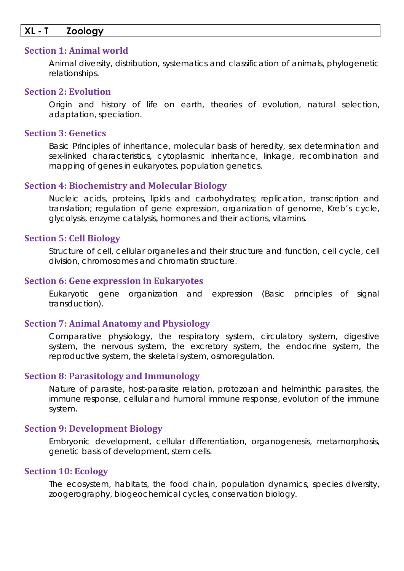## **XL - T Zoology**

#### **Section 1: Animal world**

Animal diversity, distribution, systematics and classification of animals, phylogenetic relationships.

#### **Section 2: Evolution**

Origin and history of life on earth, theories of evolution, natural selection, adaptation, speciation.

## **Section 3: Genetics**

Basic Principles of inheritance, molecular basis of heredity, sex determination and sex-linked characteristics, cytoplasmic inheritance, linkage, recombination and mapping of genes in eukaryotes, population genetics.

#### **Section 4: Biochemistry and Molecular Biology**

Nucleic acids, proteins, lipids and carbohydrates; replication, transcription and translation; regulation of gene expression, organization of genome, Kreb's cycle, glycolysis, enzyme catalysis, hormones and their actions, vitamins.

#### **Section 5: Cell Biology**

Structure of cell, cellular organelles and their structure and function, cell cycle, cell division, chromosomes and chromatin structure.

## **Section 6: Gene expression in Eukaryotes**

Eukaryotic gene organization and expression (Basic principles of signal transduction).

## **Section 7: Animal Anatomy and Physiology**

Comparative physiology, the respiratory system, circulatory system, digestive system, the nervous system, the excretory system, the endocrine system, the reproductive system, the skeletal system, osmoregulation.

## **Section 8: Parasitology and Immunology**

Nature of parasite, host-parasite relation, protozoan and helminthic parasites, the immune response, cellular and humoral immune response, evolution of the immune system.

## **Section 9: Development Biology**

Embryonic development, cellular differentiation, organogenesis, metamorphosis, genetic basis of development, stem cells.

#### **Section 10: Ecology**

The ecosystem, habitats, the food chain, population dynamics, species diversity, zoogerography, biogeochemical cycles, conservation biology.